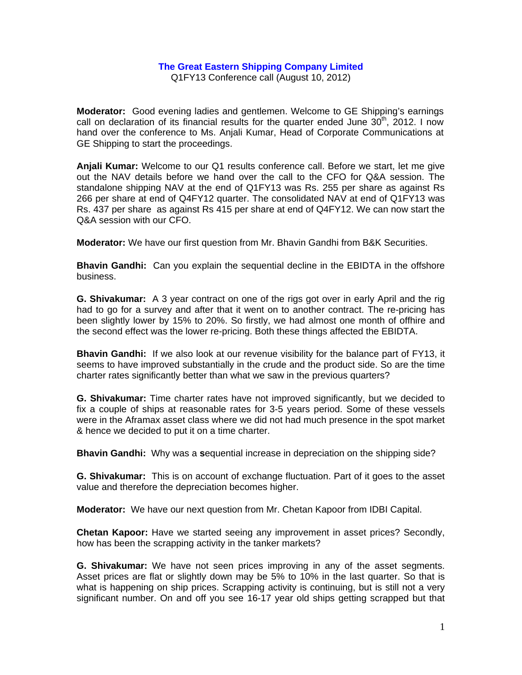## **The Great Eastern Shipping Company Limited**

Q1FY13 Conference call (August 10, 2012)

**Moderator:** Good evening ladies and gentlemen. Welcome to GE Shipping's earnings call on declaration of its financial results for the quarter ended June  $30<sup>th</sup>$ , 2012. I now hand over the conference to Ms. Anjali Kumar, Head of Corporate Communications at GE Shipping to start the proceedings.

**Anjali Kumar:** Welcome to our Q1 results conference call. Before we start, let me give out the NAV details before we hand over the call to the CFO for Q&A session. The standalone shipping NAV at the end of Q1FY13 was Rs. 255 per share as against Rs 266 per share at end of Q4FY12 quarter. The consolidated NAV at end of Q1FY13 was Rs. 437 per share as against Rs 415 per share at end of Q4FY12. We can now start the Q&A session with our CFO.

**Moderator:** We have our first question from Mr. Bhavin Gandhi from B&K Securities.

**Bhavin Gandhi:** Can you explain the sequential decline in the EBIDTA in the offshore business.

**G. Shivakumar:** A 3 year contract on one of the rigs got over in early April and the rig had to go for a survey and after that it went on to another contract. The re-pricing has been slightly lower by 15% to 20%. So firstly, we had almost one month of offhire and the second effect was the lower re-pricing. Both these things affected the EBIDTA.

**Bhavin Gandhi:** If we also look at our revenue visibility for the balance part of FY13, it seems to have improved substantially in the crude and the product side. So are the time charter rates significantly better than what we saw in the previous quarters?

**G. Shivakumar:** Time charter rates have not improved significantly, but we decided to fix a couple of ships at reasonable rates for 3-5 years period. Some of these vessels were in the Aframax asset class where we did not had much presence in the spot market & hence we decided to put it on a time charter.

**Bhavin Gandhi:** Why was a **s**equential increase in depreciation on the shipping side?

**G. Shivakumar:** This is on account of exchange fluctuation. Part of it goes to the asset value and therefore the depreciation becomes higher.

**Moderator:** We have our next question from Mr. Chetan Kapoor from IDBI Capital.

**Chetan Kapoor:** Have we started seeing any improvement in asset prices? Secondly, how has been the scrapping activity in the tanker markets?

**G. Shivakumar:** We have not seen prices improving in any of the asset segments. Asset prices are flat or slightly down may be 5% to 10% in the last quarter. So that is what is happening on ship prices. Scrapping activity is continuing, but is still not a very significant number. On and off you see 16-17 year old ships getting scrapped but that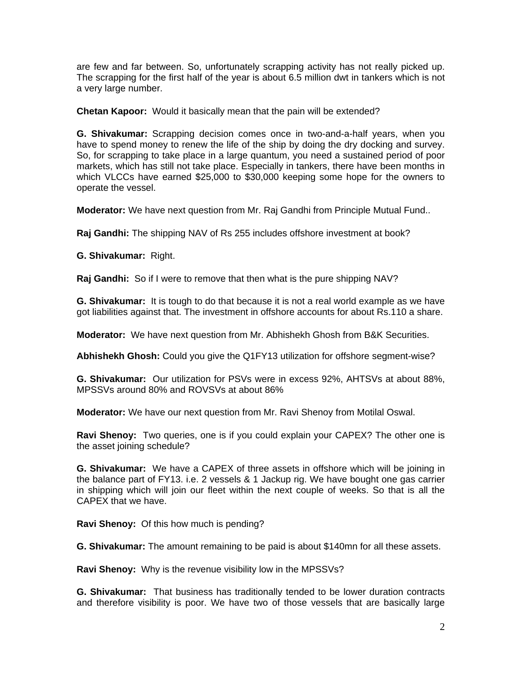are few and far between. So, unfortunately scrapping activity has not really picked up. The scrapping for the first half of the year is about 6.5 million dwt in tankers which is not a very large number.

**Chetan Kapoor:** Would it basically mean that the pain will be extended?

**G. Shivakumar:** Scrapping decision comes once in two-and-a-half years, when you have to spend money to renew the life of the ship by doing the dry docking and survey. So, for scrapping to take place in a large quantum, you need a sustained period of poor markets, which has still not take place. Especially in tankers, there have been months in which VLCCs have earned \$25,000 to \$30,000 keeping some hope for the owners to operate the vessel.

**Moderator:** We have next question from Mr. Raj Gandhi from Principle Mutual Fund..

**Raj Gandhi:** The shipping NAV of Rs 255 includes offshore investment at book?

**G. Shivakumar:** Right.

**Raj Gandhi:** So if I were to remove that then what is the pure shipping NAV?

**G. Shivakumar:** It is tough to do that because it is not a real world example as we have got liabilities against that. The investment in offshore accounts for about Rs.110 a share.

**Moderator:** We have next question from Mr. Abhishekh Ghosh from B&K Securities.

**Abhishekh Ghosh:** Could you give the Q1FY13 utilization for offshore segment-wise?

**G. Shivakumar:** Our utilization for PSVs were in excess 92%, AHTSVs at about 88%, MPSSVs around 80% and ROVSVs at about 86%

**Moderator:** We have our next question from Mr. Ravi Shenoy from Motilal Oswal.

**Ravi Shenoy:** Two queries, one is if you could explain your CAPEX? The other one is the asset joining schedule?

**G. Shivakumar:** We have a CAPEX of three assets in offshore which will be joining in the balance part of FY13. i.e. 2 vessels & 1 Jackup rig. We have bought one gas carrier in shipping which will join our fleet within the next couple of weeks. So that is all the CAPEX that we have.

**Ravi Shenoy:** Of this how much is pending?

**G. Shivakumar:** The amount remaining to be paid is about \$140mn for all these assets.

**Ravi Shenoy:** Why is the revenue visibility low in the MPSSVs?

**G. Shivakumar:** That business has traditionally tended to be lower duration contracts and therefore visibility is poor. We have two of those vessels that are basically large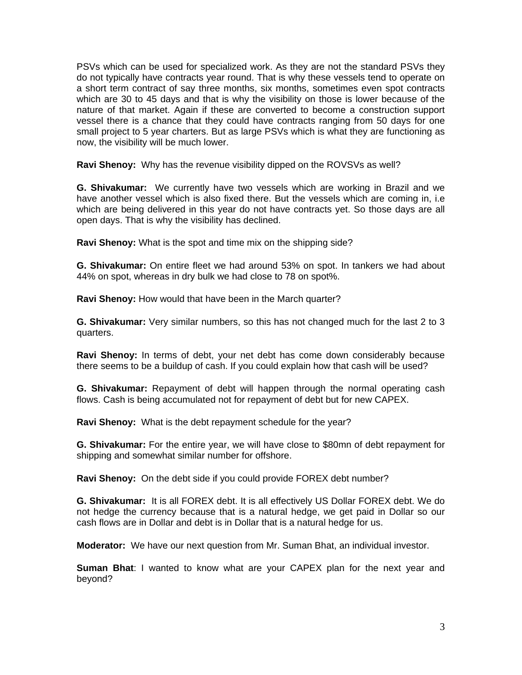PSVs which can be used for specialized work. As they are not the standard PSVs they do not typically have contracts year round. That is why these vessels tend to operate on a short term contract of say three months, six months, sometimes even spot contracts which are 30 to 45 days and that is why the visibility on those is lower because of the nature of that market. Again if these are converted to become a construction support vessel there is a chance that they could have contracts ranging from 50 days for one small project to 5 year charters. But as large PSVs which is what they are functioning as now, the visibility will be much lower.

**Ravi Shenoy:** Why has the revenue visibility dipped on the ROVSVs as well?

**G. Shivakumar:** We currently have two vessels which are working in Brazil and we have another vessel which is also fixed there. But the vessels which are coming in, i.e which are being delivered in this year do not have contracts yet. So those days are all open days. That is why the visibility has declined.

**Ravi Shenoy:** What is the spot and time mix on the shipping side?

**G. Shivakumar:** On entire fleet we had around 53% on spot. In tankers we had about 44% on spot, whereas in dry bulk we had close to 78 on spot%.

**Ravi Shenoy:** How would that have been in the March quarter?

**G. Shivakumar:** Very similar numbers, so this has not changed much for the last 2 to 3 quarters.

**Ravi Shenoy:** In terms of debt, your net debt has come down considerably because there seems to be a buildup of cash. If you could explain how that cash will be used?

**G. Shivakumar:** Repayment of debt will happen through the normal operating cash flows. Cash is being accumulated not for repayment of debt but for new CAPEX.

**Ravi Shenoy:** What is the debt repayment schedule for the year?

**G. Shivakumar:** For the entire year, we will have close to \$80mn of debt repayment for shipping and somewhat similar number for offshore.

**Ravi Shenoy:** On the debt side if you could provide FOREX debt number?

**G. Shivakumar:** It is all FOREX debt. It is all effectively US Dollar FOREX debt. We do not hedge the currency because that is a natural hedge, we get paid in Dollar so our cash flows are in Dollar and debt is in Dollar that is a natural hedge for us.

**Moderator:** We have our next question from Mr. Suman Bhat, an individual investor.

**Suman Bhat**: I wanted to know what are your CAPEX plan for the next year and beyond?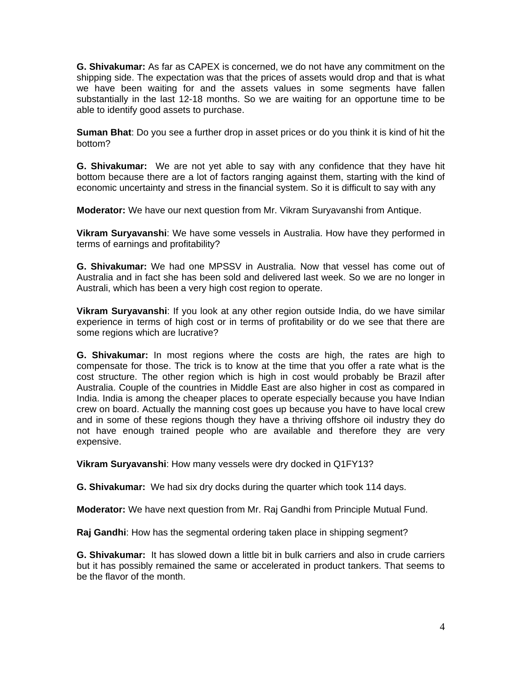**G. Shivakumar:** As far as CAPEX is concerned, we do not have any commitment on the shipping side. The expectation was that the prices of assets would drop and that is what we have been waiting for and the assets values in some segments have fallen substantially in the last 12-18 months. So we are waiting for an opportune time to be able to identify good assets to purchase.

**Suman Bhat**: Do you see a further drop in asset prices or do you think it is kind of hit the bottom?

**G. Shivakumar:** We are not yet able to say with any confidence that they have hit bottom because there are a lot of factors ranging against them, starting with the kind of economic uncertainty and stress in the financial system. So it is difficult to say with any

**Moderator:** We have our next question from Mr. Vikram Suryavanshi from Antique.

**Vikram Suryavanshi**: We have some vessels in Australia. How have they performed in terms of earnings and profitability?

**G. Shivakumar:** We had one MPSSV in Australia. Now that vessel has come out of Australia and in fact she has been sold and delivered last week. So we are no longer in Australi, which has been a very high cost region to operate.

**Vikram Suryavanshi**: If you look at any other region outside India, do we have similar experience in terms of high cost or in terms of profitability or do we see that there are some regions which are lucrative?

**G. Shivakumar:** In most regions where the costs are high, the rates are high to compensate for those. The trick is to know at the time that you offer a rate what is the cost structure. The other region which is high in cost would probably be Brazil after Australia. Couple of the countries in Middle East are also higher in cost as compared in India. India is among the cheaper places to operate especially because you have Indian crew on board. Actually the manning cost goes up because you have to have local crew and in some of these regions though they have a thriving offshore oil industry they do not have enough trained people who are available and therefore they are very expensive.

**Vikram Suryavanshi**: How many vessels were dry docked in Q1FY13?

**G. Shivakumar:** We had six dry docks during the quarter which took 114 days.

**Moderator:** We have next question from Mr. Raj Gandhi from Principle Mutual Fund.

**Raj Gandhi**: How has the segmental ordering taken place in shipping segment?

**G. Shivakumar:** It has slowed down a little bit in bulk carriers and also in crude carriers but it has possibly remained the same or accelerated in product tankers. That seems to be the flavor of the month.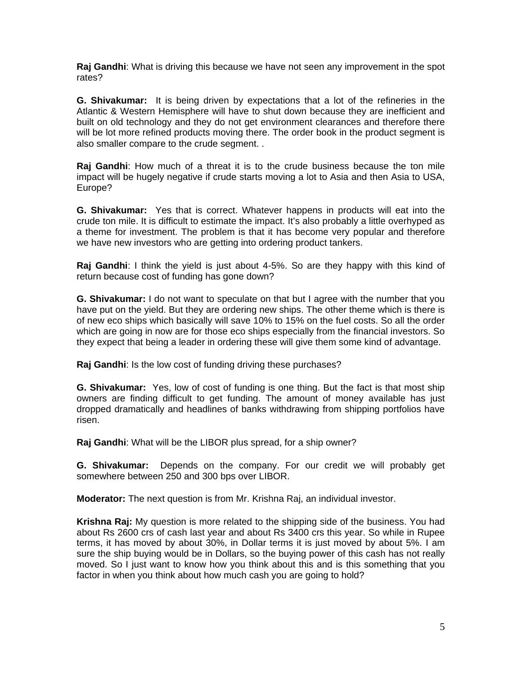**Raj Gandhi**: What is driving this because we have not seen any improvement in the spot rates?

**G. Shivakumar:** It is being driven by expectations that a lot of the refineries in the Atlantic & Western Hemisphere will have to shut down because they are inefficient and built on old technology and they do not get environment clearances and therefore there will be lot more refined products moving there. The order book in the product segment is also smaller compare to the crude segment. .

**Raj Gandhi**: How much of a threat it is to the crude business because the ton mile impact will be hugely negative if crude starts moving a lot to Asia and then Asia to USA, Europe?

**G. Shivakumar:** Yes that is correct. Whatever happens in products will eat into the crude ton mile. It is difficult to estimate the impact. It's also probably a little overhyped as a theme for investment. The problem is that it has become very popular and therefore we have new investors who are getting into ordering product tankers.

**Raj Gandhi**: I think the yield is just about 4-5%. So are they happy with this kind of return because cost of funding has gone down?

**G. Shivakumar:** I do not want to speculate on that but I agree with the number that you have put on the yield. But they are ordering new ships. The other theme which is there is of new eco ships which basically will save 10% to 15% on the fuel costs. So all the order which are going in now are for those eco ships especially from the financial investors. So they expect that being a leader in ordering these will give them some kind of advantage.

**Raj Gandhi**: Is the low cost of funding driving these purchases?

**G. Shivakumar:** Yes, low of cost of funding is one thing. But the fact is that most ship owners are finding difficult to get funding. The amount of money available has just dropped dramatically and headlines of banks withdrawing from shipping portfolios have risen.

**Raj Gandhi**: What will be the LIBOR plus spread, for a ship owner?

**G. Shivakumar:** Depends on the company. For our credit we will probably get somewhere between 250 and 300 bps over LIBOR.

**Moderator:** The next question is from Mr. Krishna Raj, an individual investor.

**Krishna Raj:** My question is more related to the shipping side of the business. You had about Rs 2600 crs of cash last year and about Rs 3400 crs this year. So while in Rupee terms, it has moved by about 30%, in Dollar terms it is just moved by about 5%. I am sure the ship buying would be in Dollars, so the buying power of this cash has not really moved. So I just want to know how you think about this and is this something that you factor in when you think about how much cash you are going to hold?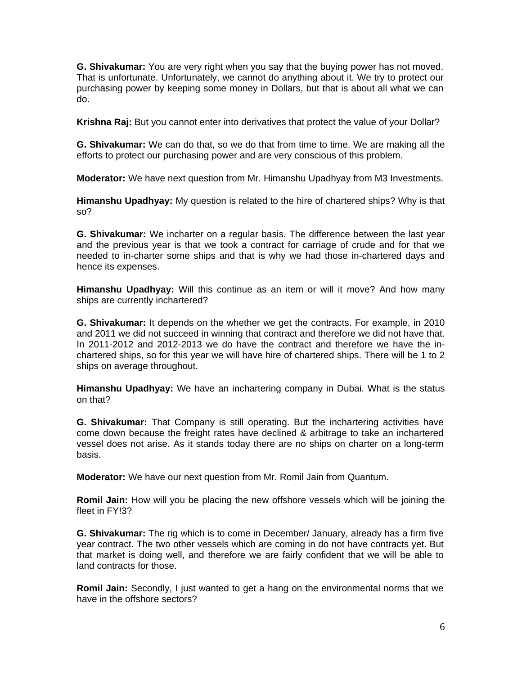**G. Shivakumar:** You are very right when you say that the buying power has not moved. That is unfortunate. Unfortunately, we cannot do anything about it. We try to protect our purchasing power by keeping some money in Dollars, but that is about all what we can do.

**Krishna Raj:** But you cannot enter into derivatives that protect the value of your Dollar?

**G. Shivakumar:** We can do that, so we do that from time to time. We are making all the efforts to protect our purchasing power and are very conscious of this problem.

**Moderator:** We have next question from Mr. Himanshu Upadhyay from M3 Investments.

**Himanshu Upadhyay:** My question is related to the hire of chartered ships? Why is that so?

**G. Shivakumar:** We incharter on a regular basis. The difference between the last year and the previous year is that we took a contract for carriage of crude and for that we needed to in-charter some ships and that is why we had those in-chartered days and hence its expenses.

**Himanshu Upadhyay:** Will this continue as an item or will it move? And how many ships are currently inchartered?

**G. Shivakumar:** It depends on the whether we get the contracts. For example, in 2010 and 2011 we did not succeed in winning that contract and therefore we did not have that. In 2011-2012 and 2012-2013 we do have the contract and therefore we have the inchartered ships, so for this year we will have hire of chartered ships. There will be 1 to 2 ships on average throughout.

**Himanshu Upadhyay:** We have an inchartering company in Dubai. What is the status on that?

**G. Shivakumar:** That Company is still operating. But the inchartering activities have come down because the freight rates have declined & arbitrage to take an inchartered vessel does not arise. As it stands today there are no ships on charter on a long-term basis.

**Moderator:** We have our next question from Mr. Romil Jain from Quantum.

**Romil Jain:** How will you be placing the new offshore vessels which will be joining the fleet in FY!3?

**G. Shivakumar:** The rig which is to come in December/ January, already has a firm five year contract. The two other vessels which are coming in do not have contracts yet. But that market is doing well, and therefore we are fairly confident that we will be able to land contracts for those.

**Romil Jain:** Secondly, I just wanted to get a hang on the environmental norms that we have in the offshore sectors?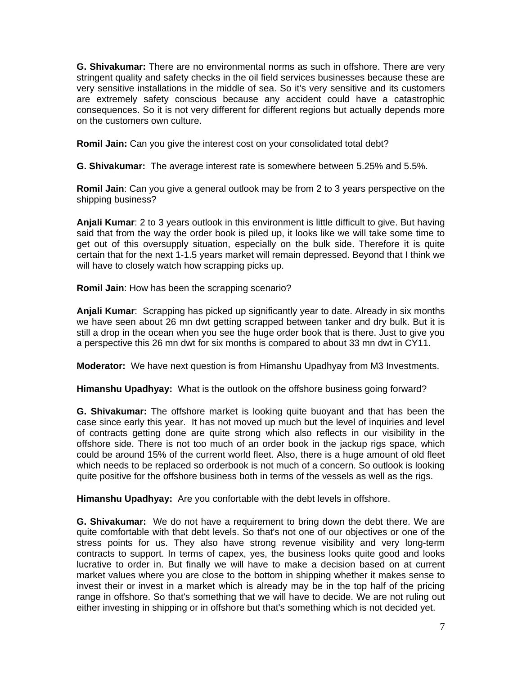**G. Shivakumar:** There are no environmental norms as such in offshore. There are very stringent quality and safety checks in the oil field services businesses because these are very sensitive installations in the middle of sea. So it's very sensitive and its customers are extremely safety conscious because any accident could have a catastrophic consequences. So it is not very different for different regions but actually depends more on the customers own culture.

**Romil Jain:** Can you give the interest cost on your consolidated total debt?

**G. Shivakumar:** The average interest rate is somewhere between 5.25% and 5.5%.

**Romil Jain**: Can you give a general outlook may be from 2 to 3 years perspective on the shipping business?

**Anjali Kumar**: 2 to 3 years outlook in this environment is little difficult to give. But having said that from the way the order book is piled up, it looks like we will take some time to get out of this oversupply situation, especially on the bulk side. Therefore it is quite certain that for the next 1-1.5 years market will remain depressed. Beyond that I think we will have to closely watch how scrapping picks up.

**Romil Jain**: How has been the scrapping scenario?

**Anjali Kumar**: Scrapping has picked up significantly year to date. Already in six months we have seen about 26 mn dwt getting scrapped between tanker and dry bulk. But it is still a drop in the ocean when you see the huge order book that is there. Just to give you a perspective this 26 mn dwt for six months is compared to about 33 mn dwt in CY11.

**Moderator:** We have next question is from Himanshu Upadhyay from M3 Investments.

**Himanshu Upadhyay:** What is the outlook on the offshore business going forward?

**G. Shivakumar:** The offshore market is looking quite buoyant and that has been the case since early this year. It has not moved up much but the level of inquiries and level of contracts getting done are quite strong which also reflects in our visibility in the offshore side. There is not too much of an order book in the jackup rigs space, which could be around 15% of the current world fleet. Also, there is a huge amount of old fleet which needs to be replaced so orderbook is not much of a concern. So outlook is looking quite positive for the offshore business both in terms of the vessels as well as the rigs.

**Himanshu Upadhyay:** Are you confortable with the debt levels in offshore.

**G. Shivakumar:** We do not have a requirement to bring down the debt there. We are quite comfortable with that debt levels. So that's not one of our objectives or one of the stress points for us. They also have strong revenue visibility and very long-term contracts to support. In terms of capex, yes, the business looks quite good and looks lucrative to order in. But finally we will have to make a decision based on at current market values where you are close to the bottom in shipping whether it makes sense to invest their or invest in a market which is already may be in the top half of the pricing range in offshore. So that's something that we will have to decide. We are not ruling out either investing in shipping or in offshore but that's something which is not decided yet.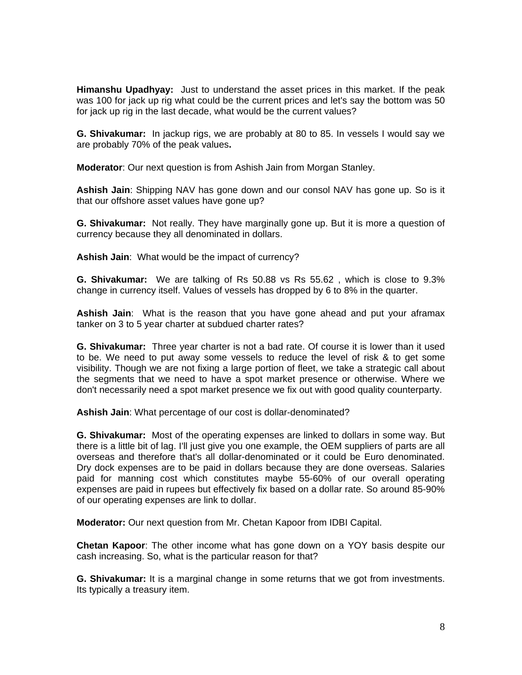**Himanshu Upadhyay:** Just to understand the asset prices in this market. If the peak was 100 for jack up rig what could be the current prices and let's say the bottom was 50 for jack up rig in the last decade, what would be the current values?

**G. Shivakumar:** In jackup rigs, we are probably at 80 to 85. In vessels I would say we are probably 70% of the peak values**.** 

**Moderator**: Our next question is from Ashish Jain from Morgan Stanley.

**Ashish Jain**: Shipping NAV has gone down and our consol NAV has gone up. So is it that our offshore asset values have gone up?

**G. Shivakumar:** Not really. They have marginally gone up. But it is more a question of currency because they all denominated in dollars.

**Ashish Jain**: What would be the impact of currency?

**G. Shivakumar:** We are talking of Rs 50.88 vs Rs 55.62 , which is close to 9.3% change in currency itself. Values of vessels has dropped by 6 to 8% in the quarter.

**Ashish Jain**: What is the reason that you have gone ahead and put your aframax tanker on 3 to 5 year charter at subdued charter rates?

**G. Shivakumar:** Three year charter is not a bad rate. Of course it is lower than it used to be. We need to put away some vessels to reduce the level of risk & to get some visibility. Though we are not fixing a large portion of fleet, we take a strategic call about the segments that we need to have a spot market presence or otherwise. Where we don't necessarily need a spot market presence we fix out with good quality counterparty.

**Ashish Jain**: What percentage of our cost is dollar-denominated?

**G. Shivakumar:** Most of the operating expenses are linked to dollars in some way. But there is a little bit of lag. I'll just give you one example, the OEM suppliers of parts are all overseas and therefore that's all dollar-denominated or it could be Euro denominated. Dry dock expenses are to be paid in dollars because they are done overseas. Salaries paid for manning cost which constitutes maybe 55-60% of our overall operating expenses are paid in rupees but effectively fix based on a dollar rate. So around 85-90% of our operating expenses are link to dollar.

**Moderator:** Our next question from Mr. Chetan Kapoor from IDBI Capital.

**Chetan Kapoor**: The other income what has gone down on a YOY basis despite our cash increasing. So, what is the particular reason for that?

**G. Shivakumar:** It is a marginal change in some returns that we got from investments. Its typically a treasury item.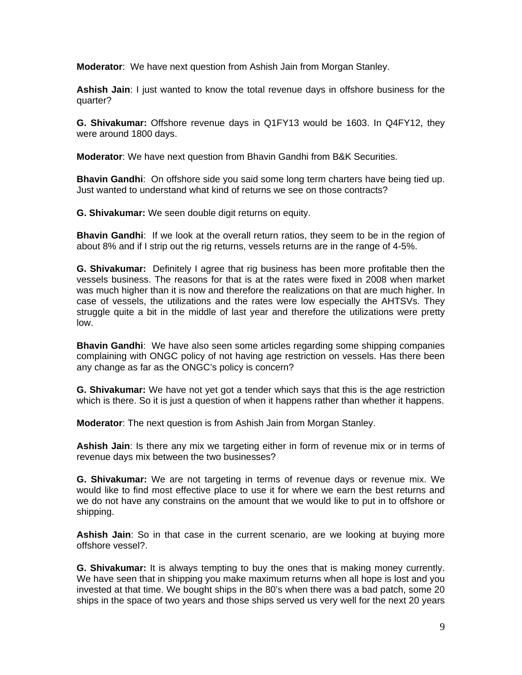**Moderator**: We have next question from Ashish Jain from Morgan Stanley.

**Ashish Jain**: I just wanted to know the total revenue days in offshore business for the quarter?

**G. Shivakumar:** Offshore revenue days in Q1FY13 would be 1603. In Q4FY12, they were around 1800 days.

**Moderator**: We have next question from Bhavin Gandhi from B&K Securities.

**Bhavin Gandhi**: On offshore side you said some long term charters have being tied up. Just wanted to understand what kind of returns we see on those contracts?

**G. Shivakumar:** We seen double digit returns on equity.

**Bhavin Gandhi**: If we look at the overall return ratios, they seem to be in the region of about 8% and if I strip out the rig returns, vessels returns are in the range of 4-5%.

**G. Shivakumar:** Definitely I agree that rig business has been more profitable then the vessels business. The reasons for that is at the rates were fixed in 2008 when market was much higher than it is now and therefore the realizations on that are much higher. In case of vessels, the utilizations and the rates were low especially the AHTSVs. They struggle quite a bit in the middle of last year and therefore the utilizations were pretty low.

**Bhavin Gandhi**: We have also seen some articles regarding some shipping companies complaining with ONGC policy of not having age restriction on vessels. Has there been any change as far as the ONGC's policy is concern?

**G. Shivakumar:** We have not yet got a tender which says that this is the age restriction which is there. So it is just a question of when it happens rather than whether it happens.

**Moderator**: The next question is from Ashish Jain from Morgan Stanley.

**Ashish Jain**: Is there any mix we targeting either in form of revenue mix or in terms of revenue days mix between the two businesses?

**G. Shivakumar:** We are not targeting in terms of revenue days or revenue mix. We would like to find most effective place to use it for where we earn the best returns and we do not have any constrains on the amount that we would like to put in to offshore or shipping.

**Ashish Jain**: So in that case in the current scenario, are we looking at buying more offshore vessel?.

**G. Shivakumar:** It is always tempting to buy the ones that is making money currently. We have seen that in shipping you make maximum returns when all hope is lost and you invested at that time. We bought ships in the 80's when there was a bad patch, some 20 ships in the space of two years and those ships served us very well for the next 20 years